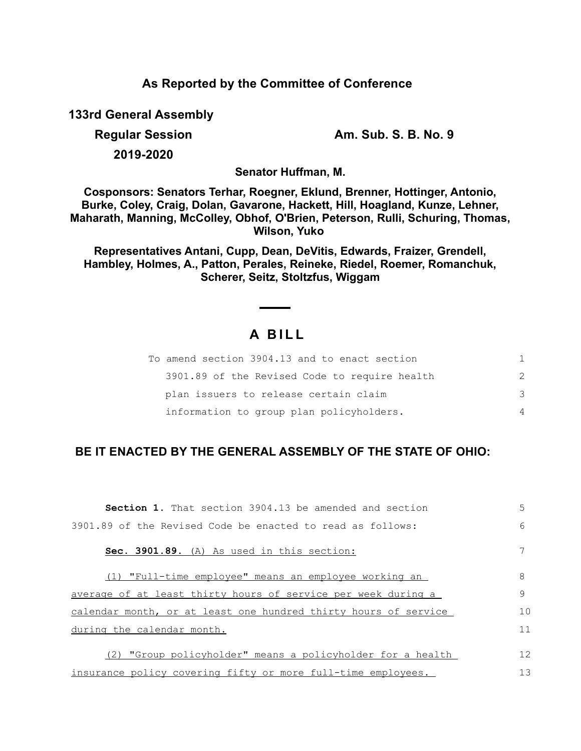**As Reported by the Committee of Conference**

**133rd General Assembly**

**Regular Session Am. Sub. S. B. No. 9**

**2019-2020**

**Senator Huffman, M.**

**Cosponsors: Senators Terhar, Roegner, Eklund, Brenner, Hottinger, Antonio, Burke, Coley, Craig, Dolan, Gavarone, Hackett, Hill, Hoagland, Kunze, Lehner, Maharath, Manning, McColley, Obhof, O'Brien, Peterson, Rulli, Schuring, Thomas, Wilson, Yuko** 

**Representatives Antani, Cupp, Dean, DeVitis, Edwards, Fraizer, Grendell, Hambley, Holmes, A., Patton, Perales, Reineke, Riedel, Roemer, Romanchuk, Scherer, Seitz, Stoltzfus, Wiggam**

# **A B I L L**

| To amend section 3904.13 and to enact section |   |
|-----------------------------------------------|---|
| 3901.89 of the Revised Code to require health | 2 |
| plan issuers to release certain claim         | 3 |
| information to group plan policyholders.      | 4 |

## **BE IT ENACTED BY THE GENERAL ASSEMBLY OF THE STATE OF OHIO:**

| <b>Section 1.</b> That section 3904.13 be amended and section   | 5  |
|-----------------------------------------------------------------|----|
| 3901.89 of the Revised Code be enacted to read as follows:      | 6  |
| Sec. 3901.89. (A) As used in this section:                      | 7  |
| (1) "Full-time employee" means an employee working an           | 8  |
| average of at least thirty hours of service per week during a   | 9  |
| calendar month, or at least one hundred thirty hours of service | 10 |
| during the calendar month.                                      | 11 |
| "Group policyholder" means a policyholder for a health<br>(2)   | 12 |
| insurance policy covering fifty or more full-time employees.    | 13 |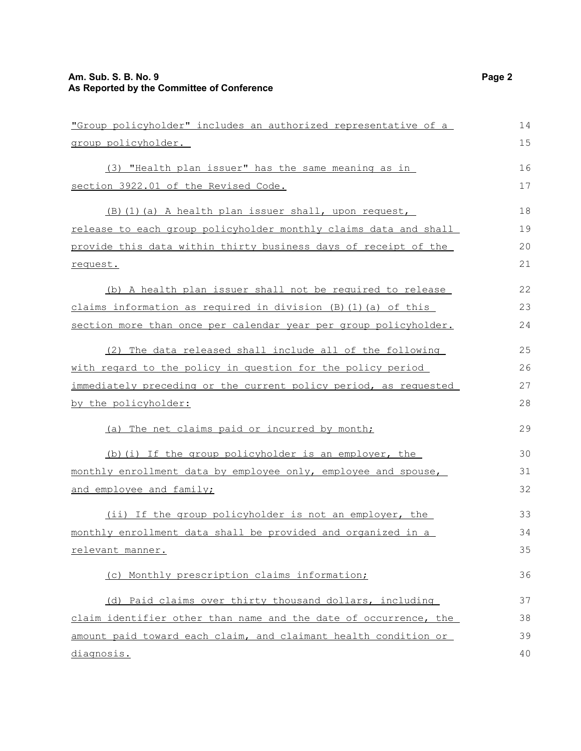## **Am. Sub. S. B. No. 9 Page 2 As Reported by the Committee of Conference**

| "Group policyholder" includes an authorized representative of a  | 14 |
|------------------------------------------------------------------|----|
| group policyholder.                                              | 15 |
| (3) "Health plan issuer" has the same meaning as in              | 16 |
| section 3922.01 of the Revised Code.                             | 17 |
| (B) (1) (a) A health plan issuer shall, upon request,            | 18 |
| release to each group policyholder monthly claims data and shall | 19 |
| provide this data within thirty business days of receipt of the  | 20 |
| request.                                                         |    |
| (b) A health plan issuer shall not be required to release        | 22 |
| claims information as required in division (B) (1) (a) of this   | 23 |
| section more than once per calendar year per group policyholder. | 24 |
| (2) The data released shall include all of the following         | 25 |
| with regard to the policy in question for the policy period      | 26 |
| immediately preceding or the current policy period, as requested | 27 |
| by the policyholder:                                             |    |
| (a) The net claims paid or incurred by month;                    | 29 |
| (b) (i) If the group policyholder is an employer, the            | 30 |
| monthly enrollment data by employee only, employee and spouse,   |    |
| and employee and family;                                         | 32 |
| (ii) If the group policyholder is not an employer, the           | 33 |
| monthly enrollment data shall be provided and organized in a     | 34 |
| relevant manner.                                                 | 35 |
| (c) Monthly prescription claims information;                     | 36 |
| (d) Paid claims over thirty thousand dollars, including          | 37 |
| claim identifier other than name and the date of occurrence, the | 38 |
| amount paid toward each claim, and claimant health condition or  | 39 |
| <u>diagnosis.</u>                                                | 40 |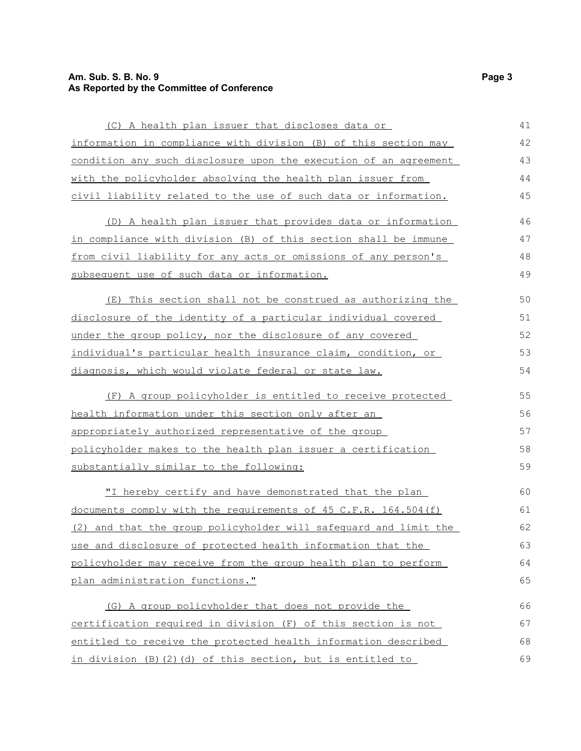## **Am. Sub. S. B. No. 9 Page 3 As Reported by the Committee of Conference**

| (C) A health plan issuer that discloses data or                  | 41 |
|------------------------------------------------------------------|----|
| information in compliance with division (B) of this section may  | 42 |
| condition any such disclosure upon the execution of an agreement | 43 |
| with the policyholder absolving the health plan issuer from      | 44 |
| civil liability related to the use of such data or information.  | 45 |
| (D) A health plan issuer that provides data or information       | 46 |
| in compliance with division (B) of this section shall be immune  | 47 |
| from civil liability for any acts or omissions of any person's   | 48 |
| subsequent use of such data or information.                      | 49 |
| (E) This section shall not be construed as authorizing the       | 50 |
| disclosure of the identity of a particular individual covered    | 51 |
| under the group policy, nor the disclosure of any covered        | 52 |
| individual's particular health insurance claim, condition, or    | 53 |
| diagnosis, which would violate federal or state law.             | 54 |
| (F) A group policyholder is entitled to receive protected        | 55 |
| health information under this section only after an              | 56 |
| appropriately authorized representative of the group             | 57 |
| policyholder makes to the health plan issuer a certification     | 58 |
| substantially similar to the following:                          | 59 |
| "I hereby certify and have demonstrated that the plan            | 60 |
| documents comply with the requirements of 45 C.F.R. 164.504 (f)  | 61 |
| (2) and that the group policyholder will safequard and limit the | 62 |
| use and disclosure of protected health information that the      | 63 |
| policyholder may receive from the group health plan to perform   | 64 |
| plan administration functions."                                  | 65 |
| (G) A group policyholder that does not provide the               | 66 |
| certification required in division (F) of this section is not    | 67 |
| entitled to receive the protected health information described   | 68 |
| in division (B)(2)(d) of this section, but is entitled to        | 69 |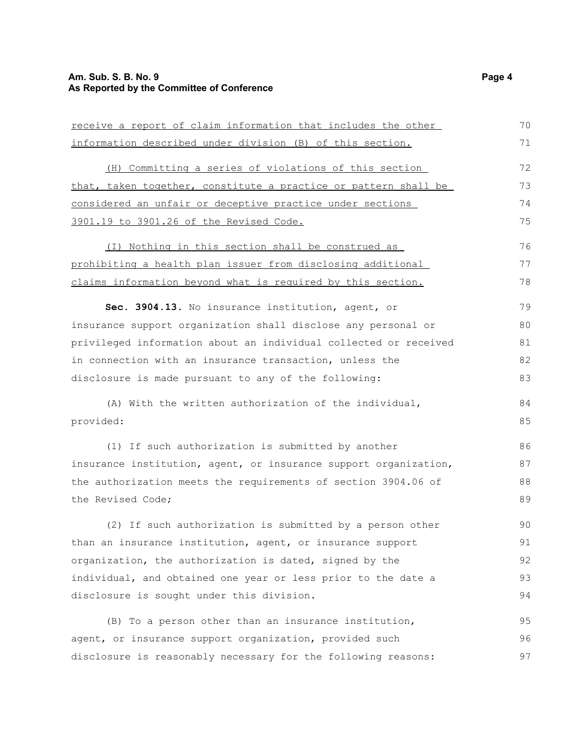## **Am. Sub. S. B. No. 9 Page 4 As Reported by the Committee of Conference**

| receive a report of claim information that includes the other    | 70 |
|------------------------------------------------------------------|----|
| information described under division (B) of this section.        |    |
| (H) Committing a series of violations of this section            | 72 |
| that, taken together, constitute a practice or pattern shall be  | 73 |
| considered an unfair or deceptive practice under sections        | 74 |
| 3901.19 to 3901.26 of the Revised Code.                          | 75 |
| (I) Nothing in this section shall be construed as                | 76 |
| prohibiting a health plan issuer from disclosing additional      | 77 |
| claims information beyond what is required by this section.      | 78 |
| Sec. 3904.13. No insurance institution, agent, or                | 79 |
| insurance support organization shall disclose any personal or    | 80 |
| privileged information about an individual collected or received | 81 |
| in connection with an insurance transaction, unless the          | 82 |
| disclosure is made pursuant to any of the following:             | 83 |
| (A) With the written authorization of the individual,            | 84 |
| provided:                                                        | 85 |
| (1) If such authorization is submitted by another                | 86 |
| insurance institution, agent, or insurance support organization, | 87 |
| the authorization meets the requirements of section 3904.06 of   | 88 |
| the Revised Code;                                                | 89 |
| (2) If such authorization is submitted by a person other         | 90 |
| than an insurance institution, agent, or insurance support       | 91 |
| organization, the authorization is dated, signed by the          | 92 |
| individual, and obtained one year or less prior to the date a    | 93 |
| disclosure is sought under this division.                        | 94 |
| (B) To a person other than an insurance institution,             | 95 |
| agent, or insurance support organization, provided such          | 96 |
| disclosure is reasonably necessary for the following reasons:    | 97 |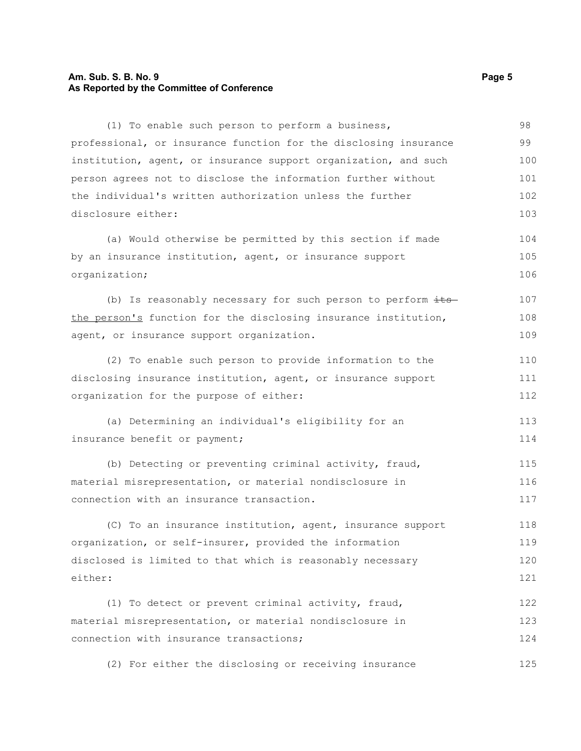#### **Am. Sub. S. B. No. 9 Page 5 As Reported by the Committee of Conference**

(1) To enable such person to perform a business, professional, or insurance function for the disclosing insurance institution, agent, or insurance support organization, and such person agrees not to disclose the information further without the individual's written authorization unless the further disclosure either: (a) Would otherwise be permitted by this section if made by an insurance institution, agent, or insurance support organization; (b) Is reasonably necessary for such person to perform  $\pm t$ sthe person's function for the disclosing insurance institution, agent, or insurance support organization. (2) To enable such person to provide information to the disclosing insurance institution, agent, or insurance support organization for the purpose of either: (a) Determining an individual's eligibility for an insurance benefit or payment; (b) Detecting or preventing criminal activity, fraud, material misrepresentation, or material nondisclosure in connection with an insurance transaction. (C) To an insurance institution, agent, insurance support organization, or self-insurer, provided the information disclosed is limited to that which is reasonably necessary either: (1) To detect or prevent criminal activity, fraud, material misrepresentation, or material nondisclosure in connection with insurance transactions; (2) For either the disclosing or receiving insurance 98 99 100 101 102 103 104 105 106 107 108 109 110 111 112 113 114 115 116 117 118 119 120 121 122 123 124 125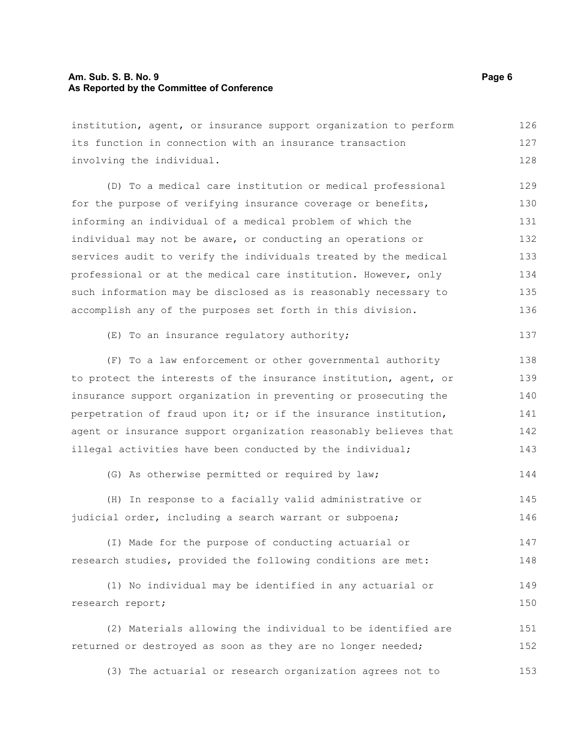#### **Am. Sub. S. B. No. 9 Page 6 As Reported by the Committee of Conference**

institution, agent, or insurance support organization to perform its function in connection with an insurance transaction involving the individual. 126 127 128

(D) To a medical care institution or medical professional for the purpose of verifying insurance coverage or benefits, informing an individual of a medical problem of which the individual may not be aware, or conducting an operations or services audit to verify the individuals treated by the medical professional or at the medical care institution. However, only such information may be disclosed as is reasonably necessary to accomplish any of the purposes set forth in this division. 129 130 131 132 133 134 135 136

```
(E) To an insurance regulatory authority;
                                                                       137
```
(F) To a law enforcement or other governmental authority to protect the interests of the insurance institution, agent, or insurance support organization in preventing or prosecuting the perpetration of fraud upon it; or if the insurance institution, agent or insurance support organization reasonably believes that illegal activities have been conducted by the individual; 138 139 140 141 142 143

(G) As otherwise permitted or required by law; 144

(H) In response to a facially valid administrative or judicial order, including a search warrant or subpoena; 145 146

(I) Made for the purpose of conducting actuarial or research studies, provided the following conditions are met: 147 148

```
(1) No individual may be identified in any actuarial or
research report;
                                                                            149
                                                                            150
```
(2) Materials allowing the individual to be identified are returned or destroyed as soon as they are no longer needed; 151 152

(3) The actuarial or research organization agrees not to 153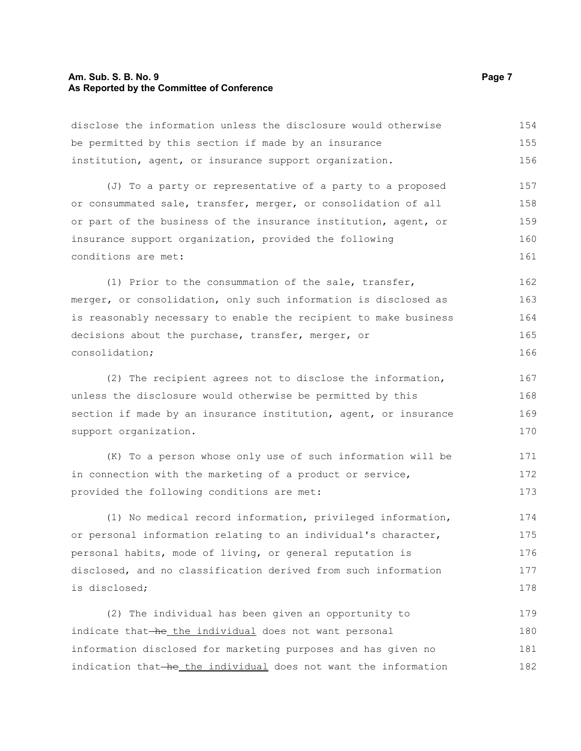#### **Am. Sub. S. B. No. 9 Page 7 Page 7 As Reported by the Committee of Conference**

disclose the information unless the disclosure would otherwise be permitted by this section if made by an insurance institution, agent, or insurance support organization. (J) To a party or representative of a party to a proposed or consummated sale, transfer, merger, or consolidation of all or part of the business of the insurance institution, agent, or insurance support organization, provided the following conditions are met: (1) Prior to the consummation of the sale, transfer, merger, or consolidation, only such information is disclosed as is reasonably necessary to enable the recipient to make business decisions about the purchase, transfer, merger, or consolidation; (2) The recipient agrees not to disclose the information, unless the disclosure would otherwise be permitted by this section if made by an insurance institution, agent, or insurance support organization. (K) To a person whose only use of such information will be in connection with the marketing of a product or service, provided the following conditions are met: (1) No medical record information, privileged information, or personal information relating to an individual's character, personal habits, mode of living, or general reputation is disclosed, and no classification derived from such information is disclosed; (2) The individual has been given an opportunity to 154 155 156 157 158 159 160 161 162 163 164 165 166 167 168 169 170 171 172 173 174 175 176 177 178 179

indicate that-he\_the individual does not want personal information disclosed for marketing purposes and has given no indication that-he the individual does not want the information 180 181 182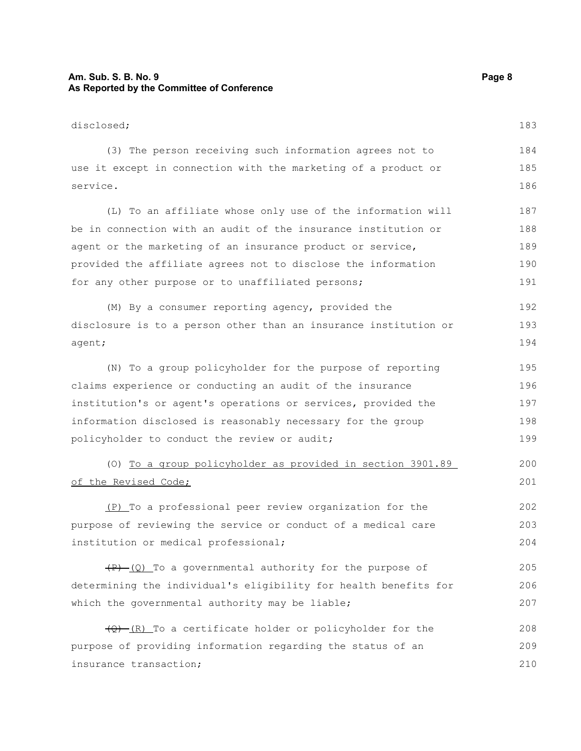## **Am. Sub. S. B. No. 9 Page 8 As Reported by the Committee of Conference**

| disclosed;                                                             | 183 |
|------------------------------------------------------------------------|-----|
| (3) The person receiving such information agrees not to                | 184 |
| use it except in connection with the marketing of a product or         | 185 |
| service.                                                               |     |
| (L) To an affiliate whose only use of the information will             | 187 |
| be in connection with an audit of the insurance institution or         | 188 |
| agent or the marketing of an insurance product or service,             | 189 |
| provided the affiliate agrees not to disclose the information          | 190 |
| for any other purpose or to unaffiliated persons;                      | 191 |
| (M) By a consumer reporting agency, provided the                       | 192 |
| disclosure is to a person other than an insurance institution or       | 193 |
| agent;                                                                 | 194 |
| (N) To a group policyholder for the purpose of reporting               | 195 |
| claims experience or conducting an audit of the insurance              | 196 |
| institution's or agent's operations or services, provided the          | 197 |
| information disclosed is reasonably necessary for the group            | 198 |
| policyholder to conduct the review or audit;                           | 199 |
| (0) To a group policyholder as provided in section 3901.89             | 200 |
| of the Revised Code;                                                   | 201 |
| (P) To a professional peer review organization for the                 | 202 |
| purpose of reviewing the service or conduct of a medical care          | 203 |
| institution or medical professional;                                   | 204 |
| $(P)$ (Q) To a governmental authority for the purpose of               | 205 |
| determining the individual's eligibility for health benefits for       | 206 |
| which the governmental authority may be liable;                        | 207 |
| $\overline{(Q) - (R)}$ To a certificate holder or policyholder for the | 208 |
| purpose of providing information regarding the status of an            | 209 |
| insurance transaction;                                                 | 210 |